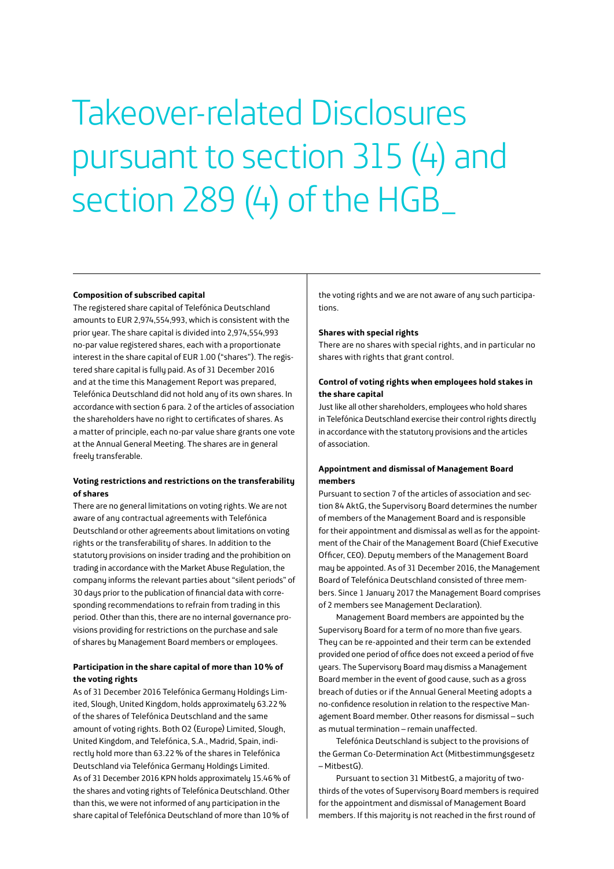# Takeover-related Disclosures pursuant to section 315 (4) and section 289 (4) of the HGB\_

#### **Composition of subscribed capital**

The registered share capital of Telefónica Deutschland amounts to EUR 2,974,554,993, which is consistent with the prior year. The share capital is divided into 2,974,554,993 no-par value registered shares, each with a proportionate interest in the share capital of EUR 1.00 ("shares"). The registered share capital is fully paid. As of 31 December 2016 and at the time this Management Report was prepared, Telefónica Deutschland did not hold any of its own shares. In accordance with section 6 para. 2 of the articles of association the shareholders have no right to certificates of shares. As a matter of principle, each no-par value share grants one vote at the Annual General Meeting. The shares are in general freely transferable.

# **Voting restrictions and restrictions on the transferability of shares**

There are no general limitations on voting rights. We are not aware of any contractual agreements with Telefónica Deutschland or other agreements about limitations on voting rights or the transferability of shares. In addition to the statutory provisions on insider trading and the prohibition on trading in accordance with the Market Abuse Regulation, the company informs the relevant parties about "silent periods" of 30 days prior to the publication of financial data with corresponding recommendations to refrain from trading in this period. Other than this, there are no internal governance provisions providing for restrictions on the purchase and sale of shares by Management Board members or employees.

## **Participation in the share capital of more than 10% of the voting rights**

As of 31 December 2016 Telefónica Germany Holdings Limited, Slough, United Kingdom, holds approximately 63.22% of the shares of Telefónica Deutschland and the same amount of voting rights. Both O2 (Europe) Limited, Slough, United Kingdom, and Telefónica, S.A., Madrid, Spain, indirectly hold more than 63.22% of the shares in Telefónica Deutschland via Telefónica Germany Holdings Limited. As of 31 December 2016 KPN holds approximately 15.46% of the shares and voting rights of Telefónica Deutschland. Other than this, we were not informed of any participation in the share capital of Telefónica Deutschland of more than 10% of

the voting rights and we are not aware of any such participations.

## **Shares with special rights**

There are no shares with special rights, and in particular no shares with rights that grant control.

# **Control of voting rights when employees hold stakes in the share capital**

Just like all other shareholders, employees who hold shares in Telefónica Deutschland exercise their control rights directly in accordance with the statutory provisions and the articles of association.

# **Appointment and dismissal of Management Board members**

Pursuant to section 7 of the articles of association and section 84 AktG, the Supervisory Board determines the number of members of the Management Board and is responsible for their appointment and dismissal as well as for the appointment of the Chair of the Management Board (Chief Executive Officer, CEO). Deputy members of the Management Board may be appointed. As of 31 December 2016, the Management Board of Telefónica Deutschland consisted of three members. Since 1 January 2017 the Management Board comprises of 2 members see Management Declaration).

Management Board members are appointed by the Supervisory Board for a term of no more than five years. They can be re-appointed and their term can be extended provided one period of office does not exceed a period of five years. The Supervisory Board may dismiss a Management Board member in the event of good cause, such as a gross breach of duties or if the Annual General Meeting adopts a no-confidence resolution in relation to the respective Management Board member. Other reasons for dismissal – such as mutual termination – remain unaffected.

Telefónica Deutschland is subject to the provisions of the German Co-Determination Act (Mitbestimmungsgesetz – MitbestG).

Pursuant to section 31 MitbestG, a majority of twothirds of the votes of Supervisory Board members is required for the appointment and dismissal of Management Board members. If this majority is not reached in the first round of